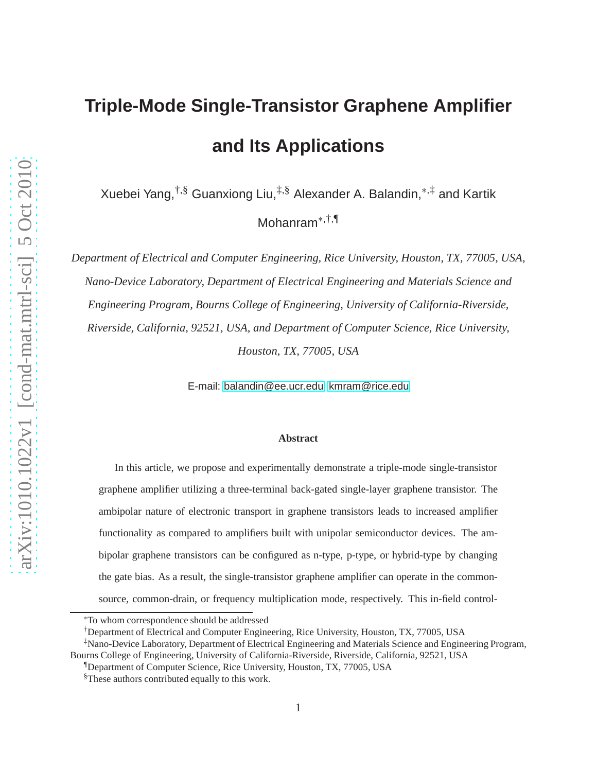# **Triple-Mode Single-Transistor Graphene Amplifier and Its Applications**

Xuebei Yang,†,§ Guanxiong Liu,‡,§ Alexander A. Balandin,∗,‡ and Kartik

Mohanram∗,†,¶

*Department of Electrical and Computer Engineering, Rice University, Houston, TX, 77005, USA, Nano-Device Laboratory, Department of Electrical Engineering and Materials Science and Engineering Program, Bourns College of Engineering, University of California-Riverside, Riverside, California, 92521, USA, and Department of Computer Science, Rice University, Houston, TX, 77005, USA*

E-mail: [balandin@ee.ucr.edu;](balandin@ee.ucr.edu)<kmram@rice.edu>

#### **Abstract**

In this article, we propose and experimentally demonstrate a triple-mode single-transistor graphene amplifier utilizing a three-terminal back-gated single-layer graphene transistor. The ambipolar nature of electronic transport in graphene transistors leads to increased amplifier functionality as compared to amplifiers built with unipolar semiconductor devices. The ambipolar graphene transistors can be configured as n-type, p-type, or hybrid-type by changing the gate bias. As a result, the single-transistor graphene amplifier can operate in the commonsource, common-drain, or frequency multiplication mode, respectively. This in-field control-

<sup>∗</sup>To whom correspondence should be addressed

<sup>†</sup>Department of Electrical and Computer Engineering, Rice University, Houston, TX, 77005, USA

<sup>‡</sup>Nano-Device Laboratory, Department of Electrical Engineering and Materials Science and Engineering Program, Bourns College of Engineering, University of California-Riverside, Riverside, California, 92521, USA

<sup>¶</sup>Department of Computer Science, Rice University, Houston, TX, 77005, USA

<sup>§</sup>These authors contributed equally to this work.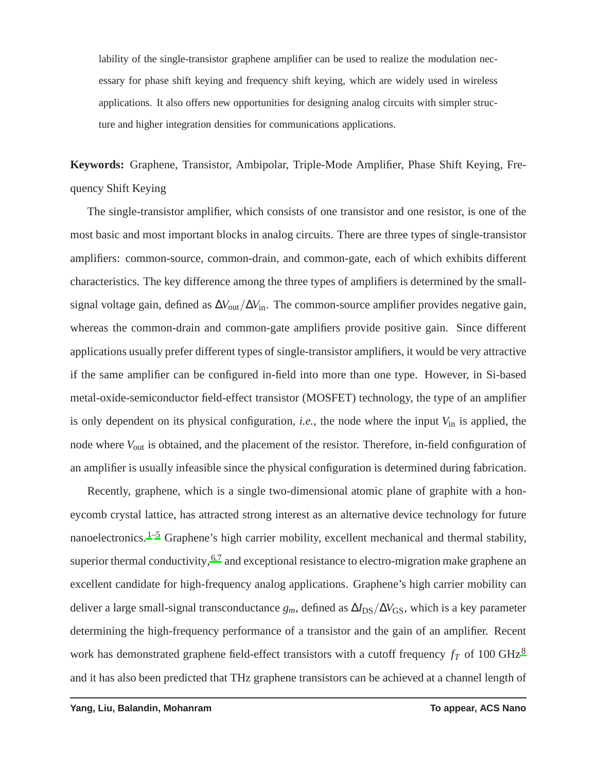lability of the single-transistor graphene amplifier can be used to realize the modulation necessary for phase shift keying and frequency shift keying, which are widely used in wireless applications. It also offers new opportunities for designing analog circuits with simpler structure and higher integration densities for communications applications.

**Keywords:** Graphene, Transistor, Ambipolar, Triple-Mode Amplifier, Phase Shift Keying, Frequency Shift Keying

The single-transistor amplifier, which consists of one transistor and one resistor, is one of the most basic and most important blocks in analog circuits. There are three types of single-transistor amplifiers: common-source, common-drain, and common-gate, each of which exhibits different characteristics. The key difference among the three types of amplifiers is determined by the smallsignal voltage gain, defined as ∆*V*out/∆*V*in. The common-source amplifier provides negative gain, whereas the common-drain and common-gate amplifiers provide positive gain. Since different applications usually prefer different types of single-transistor amplifiers, it would be very attractive if the same amplifier can be configured in-field into more than one type. However, in Si-based metal-oxide-semiconductor field-effect transistor (MOSFET) technology, the type of an amplifier is only dependent on its physical configuration, *i.e.*, the node where the input *V*in is applied, the node where *V*out is obtained, and the placement of the resistor. Therefore, in-field configuration of an amplifier is usually infeasible since the physical configuration is determined during fabrication.

Recently, graphene, which is a single two-dimensional atomic plane of graphite with a honeycomb crystal lattice, has attracted strong interest as an alternative device technology for future nanoelectronics.<sup>[1](#page-15-0)[–5](#page-15-1)</sup> Graphene's high carrier mobility, excellent mechanical and thermal stability, superior thermal conductivity,  $6,7$  $6,7$  and exceptional resistance to electro-migration make graphene an excellent candidate for high-frequency analog applications. Graphene's high carrier mobility can deliver a large small-signal transconductance *gm*, defined as ∆*I*DS/∆*V*GS, which is a key parameter determining the high-frequency performance of a transistor and the gain of an amplifier. Recent work has demonstrated graphene field-effect transistors with a cutoff frequency  $f_T$  of 100 GHz<sup>[8](#page-16-1)</sup> and it has also been predicted that THz graphene transistors can be achieved at a channel length of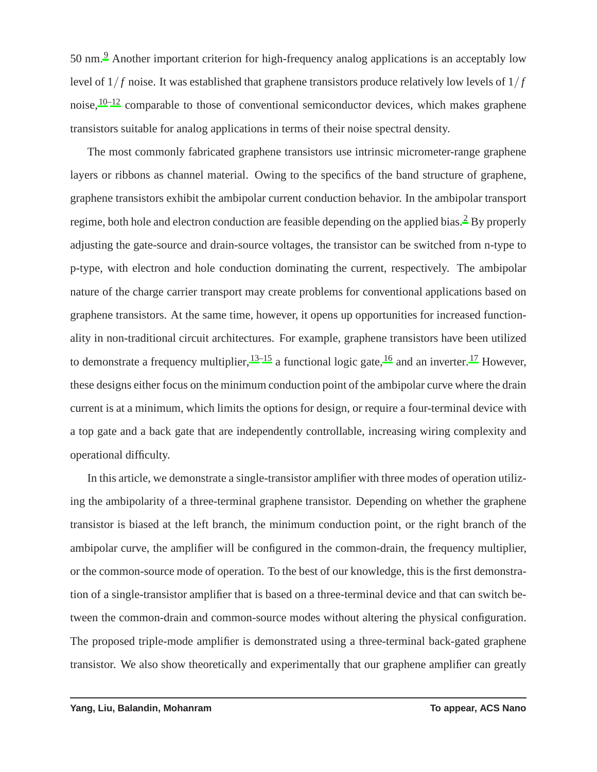50 nm.<sup>[9](#page-16-2)</sup> Another important criterion for high-frequency analog applications is an acceptably low level of  $1/f$  noise. It was established that graphene transistors produce relatively low levels of  $1/f$ noise,  $10-12$  $10-12$  comparable to those of conventional semiconductor devices, which makes graphene transistors suitable for analog applications in terms of their noise spectral density.

The most commonly fabricated graphene transistors use intrinsic micrometer-range graphene layers or ribbons as channel material. Owing to the specifics of the band structure of graphene, graphene transistors exhibit the ambipolar current conduction behavior. In the ambipolar transport regime, both hole and electron conduction are feasible depending on the applied bias.<sup>[2](#page-15-3)</sup> By properly adjusting the gate-source and drain-source voltages, the transistor can be switched from n-type to p-type, with electron and hole conduction dominating the current, respectively. The ambipolar nature of the charge carrier transport may create problems for conventional applications based on graphene transistors. At the same time, however, it opens up opportunities for increased functionality in non-traditional circuit architectures. For example, graphene transistors have been utilized to demonstrate a frequency multiplier,  $13-15$  $13-15$  a functional logic gate,  $16$  and an inverter.  $17$  However, these designs either focus on the minimum conduction point of the ambipolar curve where the drain current is at a minimum, which limits the options for design, or require a four-terminal device with a top gate and a back gate that are independently controllable, increasing wiring complexity and operational difficulty.

In this article, we demonstrate a single-transistor amplifier with three modes of operation utilizing the ambipolarity of a three-terminal graphene transistor. Depending on whether the graphene transistor is biased at the left branch, the minimum conduction point, or the right branch of the ambipolar curve, the amplifier will be configured in the common-drain, the frequency multiplier, or the common-source mode of operation. To the best of our knowledge, this is the first demonstration of a single-transistor amplifier that is based on a three-terminal device and that can switch between the common-drain and common-source modes without altering the physical configuration. The proposed triple-mode amplifier is demonstrated using a three-terminal back-gated graphene transistor. We also show theoretically and experimentally that our graphene amplifier can greatly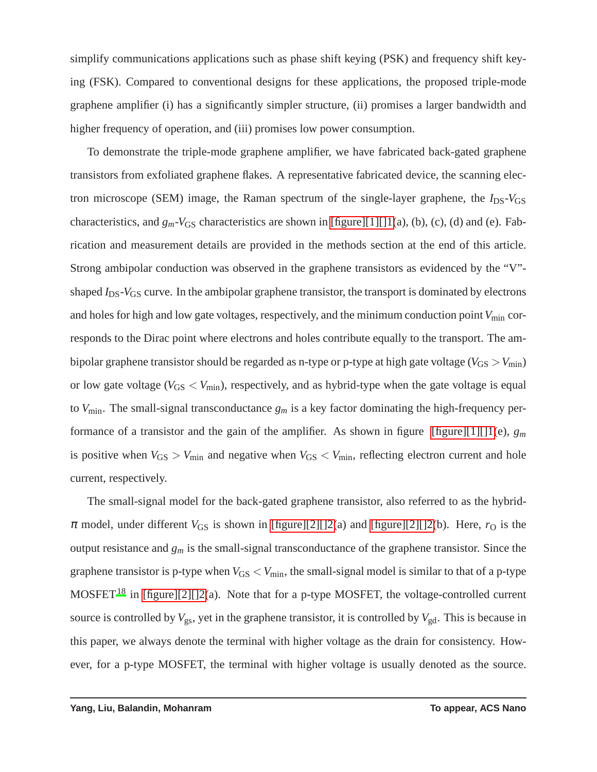simplify communications applications such as phase shift keying (PSK) and frequency shift keying (FSK). Compared to conventional designs for these applications, the proposed triple-mode graphene amplifier (i) has a significantly simpler structure, (ii) promises a larger bandwidth and higher frequency of operation, and (iii) promises low power consumption.

To demonstrate the triple-mode graphene amplifier, we have fabricated back-gated graphene transistors from exfoliated graphene flakes. A representative fabricated device, the scanning electron microscope (SEM) image, the Raman spectrum of the single-layer graphene, the *I*<sub>DS</sub>-*V*<sub>GS</sub> characteristics, and  $g_m$ -*V*<sub>GS</sub> characteristics are shown in [\[figure\]\[1\]\[\]1\(](#page-11-0)a), (b), (c), (d) and (e). Fabrication and measurement details are provided in the methods section at the end of this article. Strong ambipolar conduction was observed in the graphene transistors as evidenced by the "V" shaped *I*<sub>DS</sub>-*V*<sub>GS</sub> curve. In the ambipolar graphene transistor, the transport is dominated by electrons and holes for high and low gate voltages, respectively, and the minimum conduction point V<sub>min</sub> corresponds to the Dirac point where electrons and holes contribute equally to the transport. The ambipolar graphene transistor should be regarded as n-type or p-type at high gate voltage ( $V_{GS} > V_{min}$ ) or low gate voltage ( $V_{GS} < V_{min}$ ), respectively, and as hybrid-type when the gate voltage is equal to  $V_{\text{min}}$ . The small-signal transconductance  $g_m$  is a key factor dominating the high-frequency performance of a transistor and the gain of the amplifier. As shown in figure [\[figure\]\[1\]\[\]1\(](#page-11-0)e), *g<sup>m</sup>* is positive when  $V_{GS} > V_{min}$  and negative when  $V_{GS} < V_{min}$ , reflecting electron current and hole current, respectively.

The small-signal model for the back-gated graphene transistor, also referred to as the hybrid- $\pi$  model, under different  $V_{GS}$  is shown in [\[figure\]\[2\]\[\]2\(](#page-12-0)a) and [figure][2][]2(b). Here,  $r<sub>O</sub>$  is the output resistance and *g<sup>m</sup>* is the small-signal transconductance of the graphene transistor. Since the graphene transistor is p-type when  $V_{GS} < V_{min}$ , the small-signal model is similar to that of a p-type MOSFET<sup>[18](#page-17-2)</sup> in [\[figure\]\[2\]\[\]2\(](#page-12-0)a). Note that for a p-type MOSFET, the voltage-controlled current source is controlled by  $V_{gs}$ , yet in the graphene transistor, it is controlled by  $V_{gd}$ . This is because in this paper, we always denote the terminal with higher voltage as the drain for consistency. However, for a p-type MOSFET, the terminal with higher voltage is usually denoted as the source.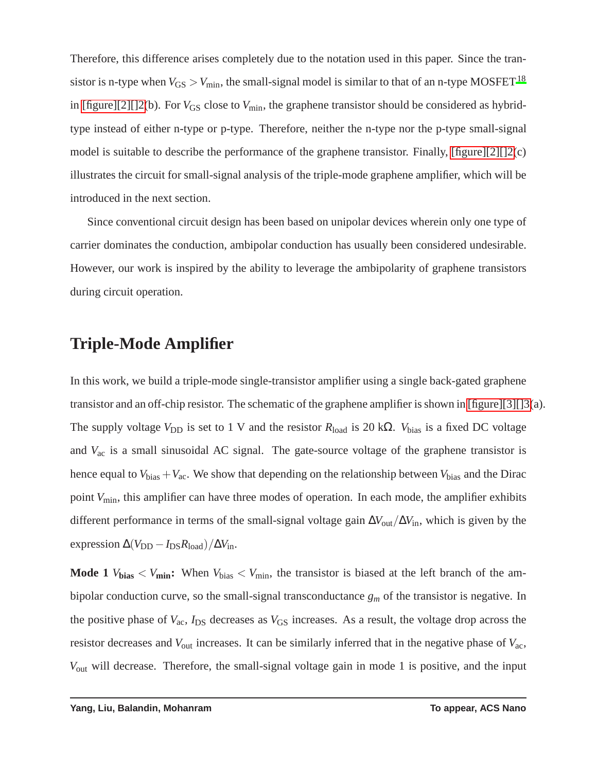Therefore, this difference arises completely due to the notation used in this paper. Since the transistor is n-type when  $V_{\rm GS} > V_{\rm min}$ , the small-signal model is similar to that of an n-type MOSFET  $^{18}$  $^{18}$  $^{18}$ in [\[figure\]\[2\]\[\]2\(](#page-12-0)b). For *V*<sub>GS</sub> close to *V*<sub>min</sub>, the graphene transistor should be considered as hybridtype instead of either n-type or p-type. Therefore, neither the n-type nor the p-type small-signal model is suitable to describe the performance of the graphene transistor. Finally,  $\left[\frac{f_{\text{full}}}{2}\right]$ illustrates the circuit for small-signal analysis of the triple-mode graphene amplifier, which will be introduced in the next section.

Since conventional circuit design has been based on unipolar devices wherein only one type of carrier dominates the conduction, ambipolar conduction has usually been considered undesirable. However, our work is inspired by the ability to leverage the ambipolarity of graphene transistors during circuit operation.

## **Triple-Mode Amplifier**

In this work, we build a triple-mode single-transistor amplifier using a single back-gated graphene transistor and an off-chip resistor. The schematic of the graphene amplifier is shown in [\[figure\]\[3\]\[\]3\(](#page-13-0)a). The supply voltage  $V_{DD}$  is set to 1 V and the resistor  $R_{load}$  is 20 k $\Omega$ .  $V_{bias}$  is a fixed DC voltage and *V*ac is a small sinusoidal AC signal. The gate-source voltage of the graphene transistor is hence equal to  $V_{bias} + V_{ac}$ . We show that depending on the relationship between  $V_{bias}$  and the Dirac point *V*<sub>min</sub>, this amplifier can have three modes of operation. In each mode, the amplifier exhibits different performance in terms of the small-signal voltage gain ∆*V*out/∆*V*in, which is given by the expression  $\Delta(V_{DD} - I_{DS}R_{load})/\Delta V_{in}$ .

**Mode 1**  $V_{bias} < V_{min}$ : When  $V_{bias} < V_{min}$ , the transistor is biased at the left branch of the ambipolar conduction curve, so the small-signal transconductance *g<sup>m</sup>* of the transistor is negative. In the positive phase of  $V_{ac}$ ,  $I_{DS}$  decreases as  $V_{GS}$  increases. As a result, the voltage drop across the resistor decreases and *V*out increases. It can be similarly inferred that in the negative phase of *V*ac, *V*out will decrease. Therefore, the small-signal voltage gain in mode 1 is positive, and the input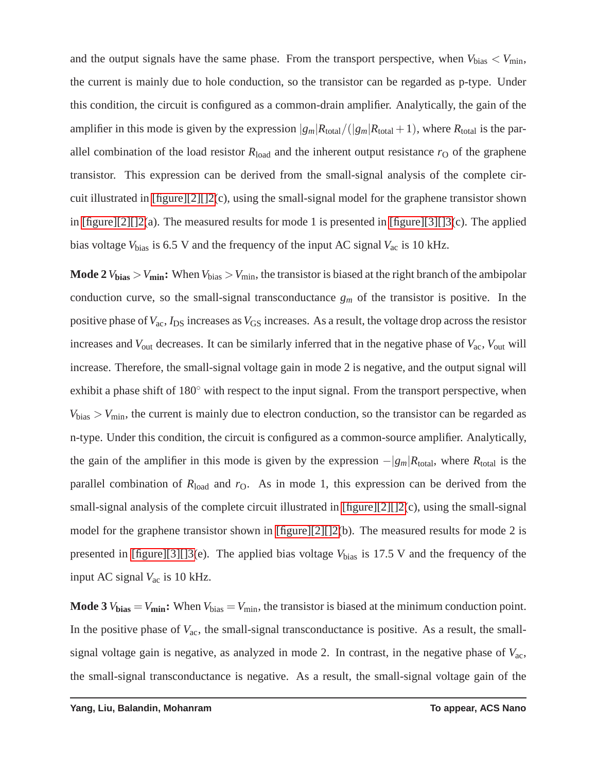and the output signals have the same phase. From the transport perspective, when  $V_{bias} < V_{min}$ , the current is mainly due to hole conduction, so the transistor can be regarded as p-type. Under this condition, the circuit is configured as a common-drain amplifier. Analytically, the gain of the amplifier in this mode is given by the expression  $|g_m|R_{\text{total}}/(|g_m|R_{\text{total}}+1)$ , where  $R_{\text{total}}$  is the parallel combination of the load resistor  $R_{load}$  and the inherent output resistance  $r<sub>O</sub>$  of the graphene transistor. This expression can be derived from the small-signal analysis of the complete circuit illustrated in  $[\text{figure}][2][2(c)]$ , using the small-signal model for the graphene transistor shown in  $[\text{figure}][2][2(a)]$ . The measured results for mode 1 is presented in  $[\text{figure}][3][3(c)]$ . The applied bias voltage *V*bias is 6.5 V and the frequency of the input AC signal *V*ac is 10 kHz.

**Mode 2***V***bias** > *V***min:** When  $V_{bias}$  >  $V_{min}$ , the transistor is biased at the right branch of the ambipolar conduction curve, so the small-signal transconductance  $g_m$  of the transistor is positive. In the positive phase of  $V_{ac}$ ,  $I_{DS}$  increases as  $V_{GS}$  increases. As a result, the voltage drop across the resistor increases and *V*out decreases. It can be similarly inferred that in the negative phase of *V*ac, *V*out will increase. Therefore, the small-signal voltage gain in mode 2 is negative, and the output signal will exhibit a phase shift of 180° with respect to the input signal. From the transport perspective, when  $V_{bias} > V_{min}$ , the current is mainly due to electron conduction, so the transistor can be regarded as n-type. Under this condition, the circuit is configured as a common-source amplifier. Analytically, the gain of the amplifier in this mode is given by the expression  $-|g_m|R_{\text{total}}$ , where  $R_{\text{total}}$  is the parallel combination of  $R_{load}$  and  $r<sub>O</sub>$ . As in mode 1, this expression can be derived from the small-signal analysis of the complete circuit illustrated in [\[figure\]\[2\]\[\]2\(](#page-12-0)c), using the small-signal model for the graphene transistor shown in [\[figure\]\[2\]\[\]2\(](#page-12-0)b). The measured results for mode 2 is presented in [\[figure\]\[3\]\[\]3\(](#page-13-0)e). The applied bias voltage  $V_{bias}$  is 17.5 V and the frequency of the input AC signal *V*ac is 10 kHz.

**Mode 3**  $V_{bias} = V_{min}$ : When  $V_{bias} = V_{min}$ , the transistor is biased at the minimum conduction point. In the positive phase of  $V_{ac}$ , the small-signal transconductance is positive. As a result, the smallsignal voltage gain is negative, as analyzed in mode 2. In contrast, in the negative phase of  $V_{ac}$ , the small-signal transconductance is negative. As a result, the small-signal voltage gain of the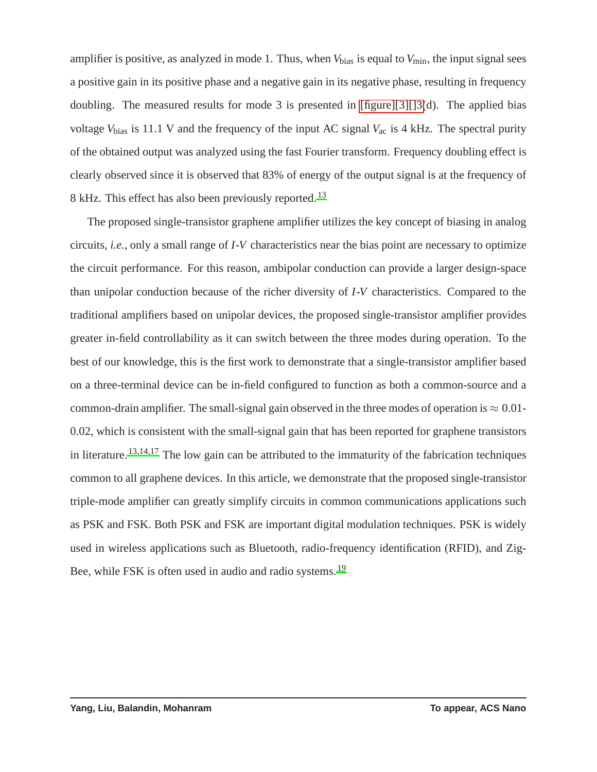amplifier is positive, as analyzed in mode 1. Thus, when  $V_{bias}$  is equal to  $V_{min}$ , the input signal sees a positive gain in its positive phase and a negative gain in its negative phase, resulting in frequency doubling. The measured results for mode 3 is presented in  $[\text{figure}][3][3(d)]$ . The applied bias voltage *V*bias is 11.1 V and the frequency of the input AC signal *V*ac is 4 kHz. The spectral purity of the obtained output was analyzed using the fast Fourier transform. Frequency doubling effect is clearly observed since it is observed that 83% of energy of the output signal is at the frequency of 8 kHz. This effect has also been previously reported.<sup>[13](#page-16-5)</sup>

The proposed single-transistor graphene amplifier utilizes the key concept of biasing in analog circuits, *i.e.*, only a small range of *I*-*V* characteristics near the bias point are necessary to optimize the circuit performance. For this reason, ambipolar conduction can provide a larger design-space than unipolar conduction because of the richer diversity of *I*-*V* characteristics. Compared to the traditional amplifiers based on unipolar devices, the proposed single-transistor amplifier provides greater in-field controllability as it can switch between the three modes during operation. To the best of our knowledge, this is the first work to demonstrate that a single-transistor amplifier based on a three-terminal device can be in-field configured to function as both a common-source and a common-drain amplifier. The small-signal gain observed in the three modes of operation is  $\approx 0.01$ -0.02, which is consistent with the small-signal gain that has been reported for graphene transistors in literature.<sup>[13](#page-16-5)[,14](#page-16-7)[,17](#page-17-1)</sup> The low gain can be attributed to the immaturity of the fabrication techniques common to all graphene devices. In this article, we demonstrate that the proposed single-transistor triple-mode amplifier can greatly simplify circuits in common communications applications such as PSK and FSK. Both PSK and FSK are important digital modulation techniques. PSK is widely used in wireless applications such as Bluetooth, radio-frequency identification (RFID), and Zig-Bee, while FSK is often used in audio and radio systems.<sup>[19](#page-17-3)</sup>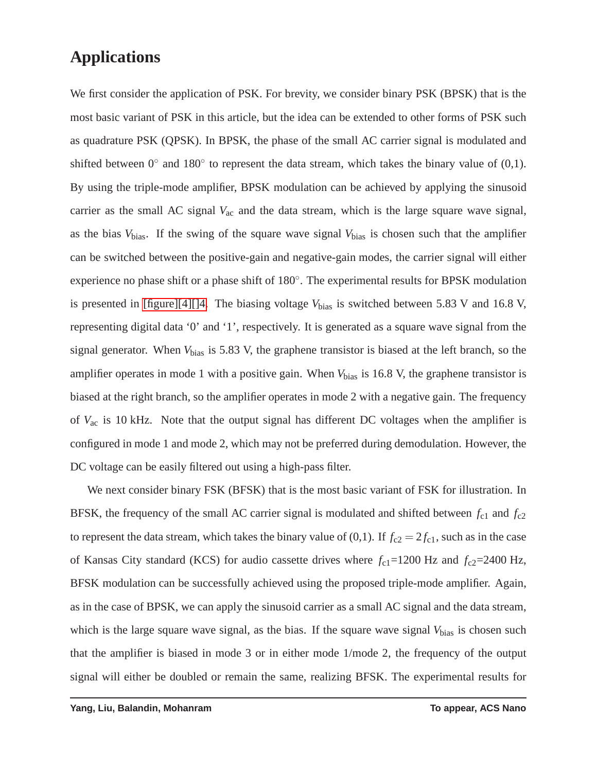#### **Applications**

We first consider the application of PSK. For brevity, we consider binary PSK (BPSK) that is the most basic variant of PSK in this article, but the idea can be extended to other forms of PSK such as quadrature PSK (QPSK). In BPSK, the phase of the small AC carrier signal is modulated and shifted between  $0^\circ$  and  $180^\circ$  to represent the data stream, which takes the binary value of (0,1). By using the triple-mode amplifier, BPSK modulation can be achieved by applying the sinusoid carrier as the small AC signal  $V_{ac}$  and the data stream, which is the large square wave signal, as the bias *V*bias. If the swing of the square wave signal *V*bias is chosen such that the amplifier can be switched between the positive-gain and negative-gain modes, the carrier signal will either experience no phase shift or a phase shift of 180°. The experimental results for BPSK modulation is presented in [\[figure\]\[4\]\[\]4.](#page-14-0) The biasing voltage  $V_{bias}$  is switched between 5.83 V and 16.8 V, representing digital data '0' and '1', respectively. It is generated as a square wave signal from the signal generator. When *V*bias is 5.83 V, the graphene transistor is biased at the left branch, so the amplifier operates in mode 1 with a positive gain. When  $V_{bias}$  is 16.8 V, the graphene transistor is biased at the right branch, so the amplifier operates in mode 2 with a negative gain. The frequency of *V*ac is 10 kHz. Note that the output signal has different DC voltages when the amplifier is configured in mode 1 and mode 2, which may not be preferred during demodulation. However, the DC voltage can be easily filtered out using a high-pass filter.

We next consider binary FSK (BFSK) that is the most basic variant of FSK for illustration. In BFSK, the frequency of the small AC carrier signal is modulated and shifted between  $f_{c1}$  and  $f_{c2}$ to represent the data stream, which takes the binary value of (0,1). If  $f_{c2} = 2f_{c1}$ , such as in the case of Kansas City standard (KCS) for audio cassette drives where  $f_{c1}=1200$  Hz and  $f_{c2}=2400$  Hz, BFSK modulation can be successfully achieved using the proposed triple-mode amplifier. Again, as in the case of BPSK, we can apply the sinusoid carrier as a small AC signal and the data stream, which is the large square wave signal, as the bias. If the square wave signal  $V_{bias}$  is chosen such that the amplifier is biased in mode 3 or in either mode 1/mode 2, the frequency of the output signal will either be doubled or remain the same, realizing BFSK. The experimental results for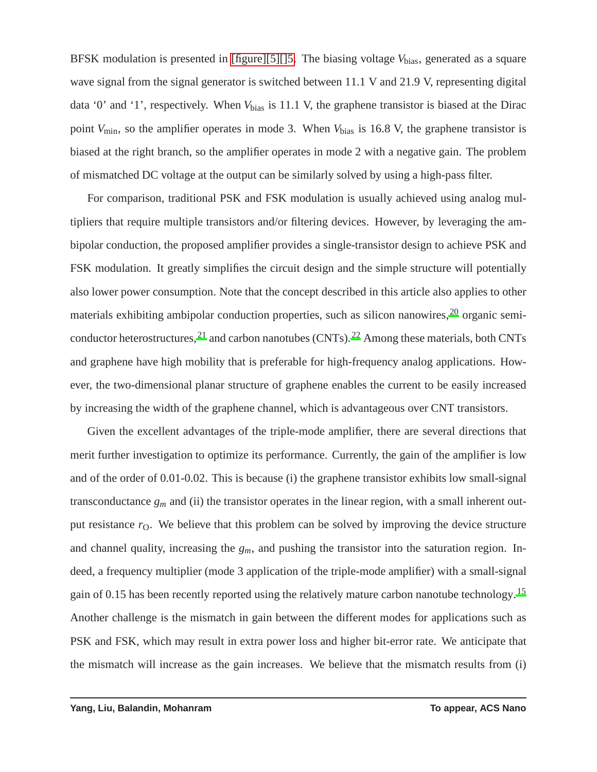BFSK modulation is presented in [\[figure\]\[5\]\[\]5.](#page-15-4) The biasing voltage  $V_{bias}$ , generated as a square wave signal from the signal generator is switched between 11.1 V and 21.9 V, representing digital data '0' and '1', respectively. When  $V_{bias}$  is 11.1 V, the graphene transistor is biased at the Dirac point *V*<sub>min</sub>, so the amplifier operates in mode 3. When *V*<sub>bias</sub> is 16.8 V, the graphene transistor is biased at the right branch, so the amplifier operates in mode 2 with a negative gain. The problem of mismatched DC voltage at the output can be similarly solved by using a high-pass filter.

For comparison, traditional PSK and FSK modulation is usually achieved using analog multipliers that require multiple transistors and/or filtering devices. However, by leveraging the ambipolar conduction, the proposed amplifier provides a single-transistor design to achieve PSK and FSK modulation. It greatly simplifies the circuit design and the simple structure will potentially also lower power consumption. Note that the concept described in this article also applies to other materials exhibiting ambipolar conduction properties, such as silicon nanowires,<sup>[20](#page-17-4)</sup> organic semiconductor heterostructures,  $^{21}$  $^{21}$  $^{21}$  and carbon nanotubes (CNTs).  $^{22}$  $^{22}$  $^{22}$  Among these materials, both CNTs and graphene have high mobility that is preferable for high-frequency analog applications. However, the two-dimensional planar structure of graphene enables the current to be easily increased by increasing the width of the graphene channel, which is advantageous over CNT transistors.

Given the excellent advantages of the triple-mode amplifier, there are several directions that merit further investigation to optimize its performance. Currently, the gain of the amplifier is low and of the order of 0.01-0.02. This is because (i) the graphene transistor exhibits low small-signal transconductance  $g_m$  and (ii) the transistor operates in the linear region, with a small inherent output resistance  $r<sub>O</sub>$ . We believe that this problem can be solved by improving the device structure and channel quality, increasing the *gm*, and pushing the transistor into the saturation region. Indeed, a frequency multiplier (mode 3 application of the triple-mode amplifier) with a small-signal gain of 0.[15](#page-16-6) has been recently reported using the relatively mature carbon nanotube technology.<sup>15</sup> Another challenge is the mismatch in gain between the different modes for applications such as PSK and FSK, which may result in extra power loss and higher bit-error rate. We anticipate that the mismatch will increase as the gain increases. We believe that the mismatch results from (i)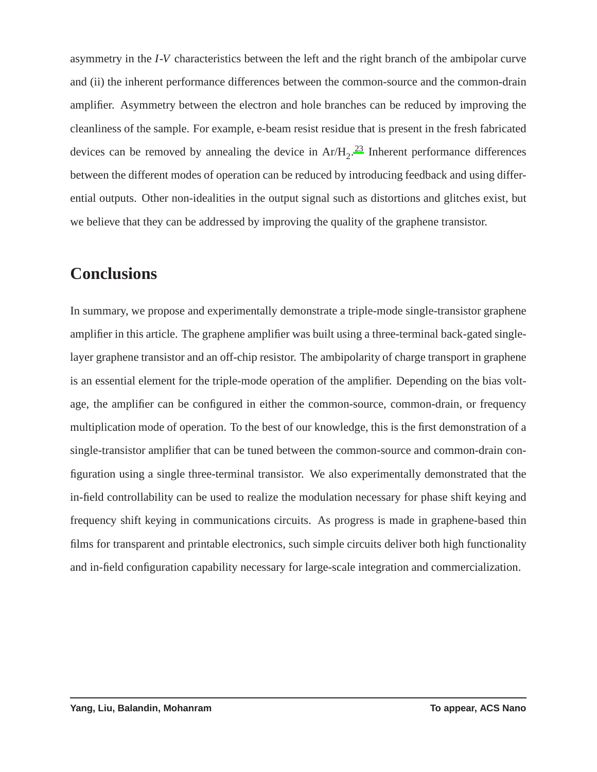asymmetry in the *I*-*V* characteristics between the left and the right branch of the ambipolar curve and (ii) the inherent performance differences between the common-source and the common-drain amplifier. Asymmetry between the electron and hole branches can be reduced by improving the cleanliness of the sample. For example, e-beam resist residue that is present in the fresh fabricated devices can be removed by annealing the device in  $Ar/H_2$ .<sup>[23](#page-17-7)</sup> Inherent performance differences between the different modes of operation can be reduced by introducing feedback and using differential outputs. Other non-idealities in the output signal such as distortions and glitches exist, but we believe that they can be addressed by improving the quality of the graphene transistor.

# **Conclusions**

In summary, we propose and experimentally demonstrate a triple-mode single-transistor graphene amplifier in this article. The graphene amplifier was built using a three-terminal back-gated singlelayer graphene transistor and an off-chip resistor. The ambipolarity of charge transport in graphene is an essential element for the triple-mode operation of the amplifier. Depending on the bias voltage, the amplifier can be configured in either the common-source, common-drain, or frequency multiplication mode of operation. To the best of our knowledge, this is the first demonstration of a single-transistor amplifier that can be tuned between the common-source and common-drain configuration using a single three-terminal transistor. We also experimentally demonstrated that the in-field controllability can be used to realize the modulation necessary for phase shift keying and frequency shift keying in communications circuits. As progress is made in graphene-based thin films for transparent and printable electronics, such simple circuits deliver both high functionality and in-field configuration capability necessary for large-scale integration and commercialization.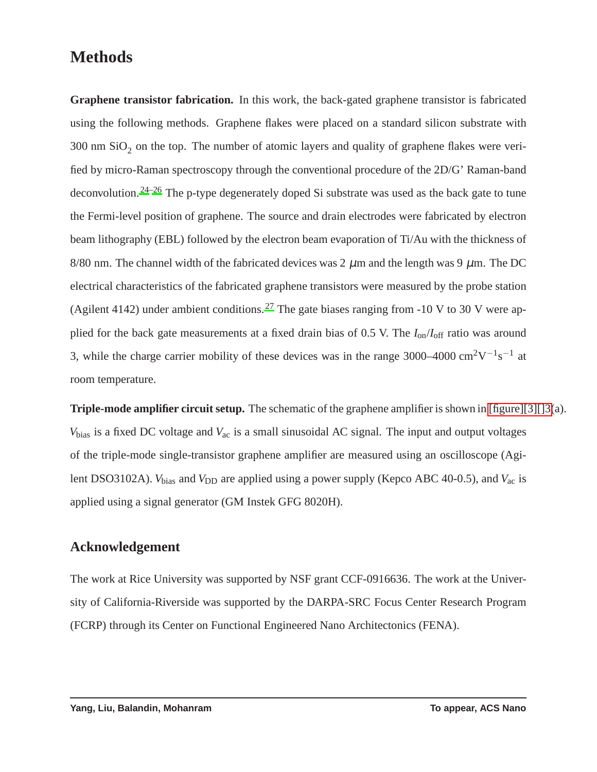### **Methods**

**Graphene transistor fabrication.** In this work, the back-gated graphene transistor is fabricated using the following methods. Graphene flakes were placed on a standard silicon substrate with  $300 \text{ nm SiO}_2$  on the top. The number of atomic layers and quality of graphene flakes were verified by micro-Raman spectroscopy through the conventional procedure of the 2D/G' Raman-band deconvolution.<sup>[24](#page-17-8)[–26](#page-17-9)</sup> The p-type degenerately doped Si substrate was used as the back gate to tune the Fermi-level position of graphene. The source and drain electrodes were fabricated by electron beam lithography (EBL) followed by the electron beam evaporation of Ti/Au with the thickness of 8/80 nm. The channel width of the fabricated devices was 2  $\mu$ m and the length was 9  $\mu$ m. The DC electrical characteristics of the fabricated graphene transistors were measured by the probe station (Agilent 4142) under ambient conditions.<sup>[27](#page-18-0)</sup> The gate biases ranging from -10 V to 30 V were applied for the back gate measurements at a fixed drain bias of 0.5 V. The *I*on/*I*off ratio was around 3, while the charge carrier mobility of these devices was in the range 3000–4000 cm<sup>2</sup>V<sup>-1</sup>s<sup>-1</sup> at room temperature.

**Triple-mode amplifier circuit setup.** The schematic of the graphene amplifier is shown in [\[figure\]\[3\]\[\]3\(](#page-13-0)a). *V*bias is a fixed DC voltage and *V*ac is a small sinusoidal AC signal. The input and output voltages of the triple-mode single-transistor graphene amplifier are measured using an oscilloscope (Agilent DSO3102A). *V*<sub>bias</sub> and *V*<sub>DD</sub> are applied using a power supply (Kepco ABC 40-0.5), and *V*<sub>ac</sub> is applied using a signal generator (GM Instek GFG 8020H).

#### **Acknowledgement**

The work at Rice University was supported by NSF grant CCF-0916636. The work at the University of California-Riverside was supported by the DARPA-SRC Focus Center Research Program (FCRP) through its Center on Functional Engineered Nano Architectonics (FENA).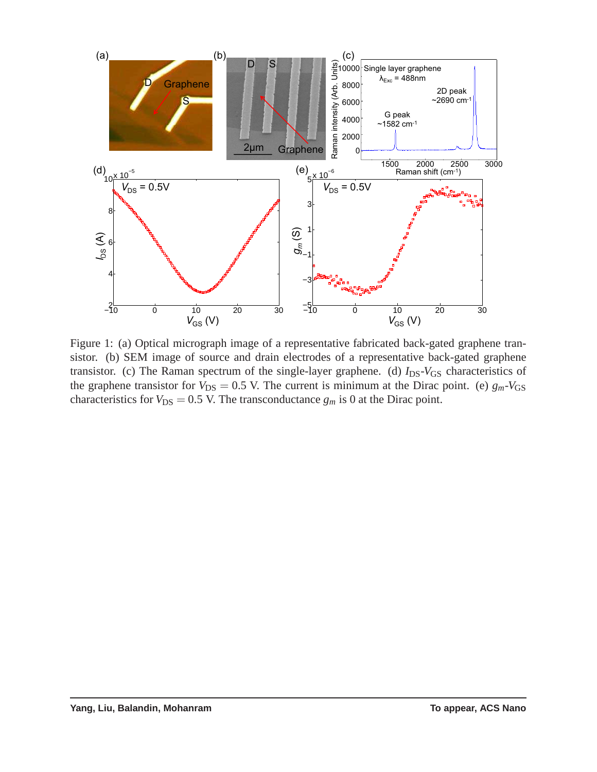<span id="page-11-0"></span>

Figure 1: (a) Optical micrograph image of a representative fabricated back-gated graphene transistor. (b) SEM image of source and drain electrodes of a representative back-gated graphene transistor. (c) The Raman spectrum of the single-layer graphene. (d)  $I_{DS}$ -*V*<sub>GS</sub> characteristics of the graphene transistor for  $V_{DS} = 0.5$  V. The current is minimum at the Dirac point. (e)  $g_m - V_{GS}$ characteristics for  $V_{DS} = 0.5$  V. The transconductance  $g_m$  is 0 at the Dirac point.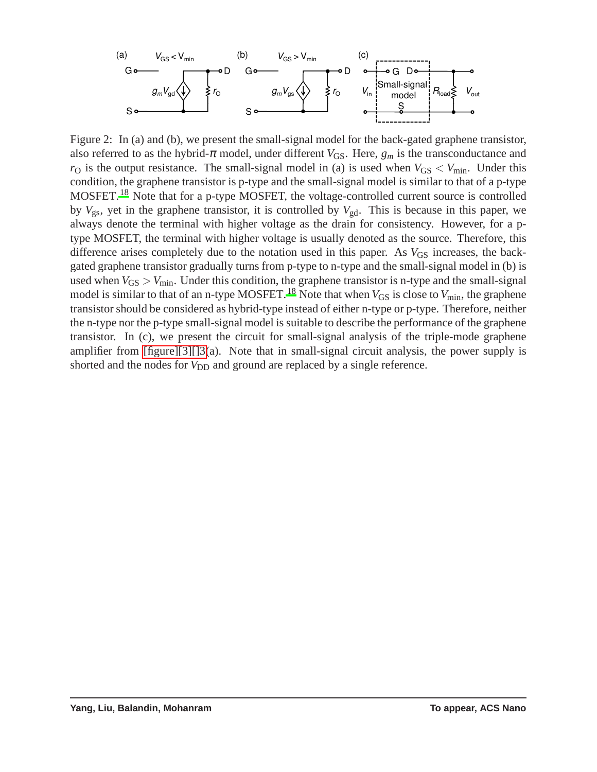<span id="page-12-0"></span>

Figure 2: In (a) and (b), we present the small-signal model for the back-gated graphene transistor, also referred to as the hybrid- $\pi$  model, under different  $V_{GS}$ . Here,  $g_m$  is the transconductance and  $r_{\rm O}$  is the output resistance. The small-signal model in (a) is used when  $V_{\rm GS} < V_{\rm min}$ . Under this condition, the graphene transistor is p-type and the small-signal model is similar to that of a p-type MOSFET.[18](#page-17-2) Note that for a p-type MOSFET, the voltage-controlled current source is controlled by  $V_{gs}$ , yet in the graphene transistor, it is controlled by  $V_{gd}$ . This is because in this paper, we always denote the terminal with higher voltage as the drain for consistency. However, for a ptype MOSFET, the terminal with higher voltage is usually denoted as the source. Therefore, this difference arises completely due to the notation used in this paper. As  $V_{\text{GS}}$  increases, the backgated graphene transistor gradually turns from p-type to n-type and the small-signal model in (b) is used when  $V_{GS} > V_{min}$ . Under this condition, the graphene transistor is n-type and the small-signal model is similar to that of an n-type MOSFET.<sup>[18](#page-17-2)</sup> Note that when  $V_{GS}$  is close to  $V_{min}$ , the graphene transistor should be considered as hybrid-type instead of either n-type or p-type. Therefore, neither the n-type nor the p-type small-signal model is suitable to describe the performance of the graphene transistor. In (c), we present the circuit for small-signal analysis of the triple-mode graphene amplifier from [\[figure\]\[3\]\[\]3\(](#page-13-0)a). Note that in small-signal circuit analysis, the power supply is shorted and the nodes for *V*<sub>DD</sub> and ground are replaced by a single reference.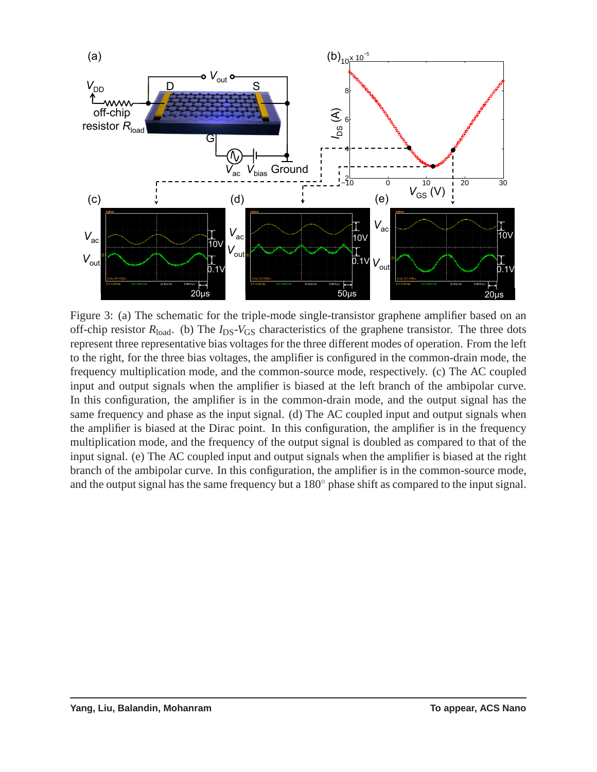<span id="page-13-0"></span>

Figure 3: (a) The schematic for the triple-mode single-transistor graphene amplifier based on an off-chip resistor  $R_{load}$ . (b) The  $I_{DS}$ - $V_{GS}$  characteristics of the graphene transistor. The three dots represent three representative bias voltages for the three different modes of operation. From the left to the right, for the three bias voltages, the amplifier is configured in the common-drain mode, the frequency multiplication mode, and the common-source mode, respectively. (c) The AC coupled input and output signals when the amplifier is biased at the left branch of the ambipolar curve. In this configuration, the amplifier is in the common-drain mode, and the output signal has the same frequency and phase as the input signal. (d) The AC coupled input and output signals when the amplifier is biased at the Dirac point. In this configuration, the amplifier is in the frequency multiplication mode, and the frequency of the output signal is doubled as compared to that of the input signal. (e) The AC coupled input and output signals when the amplifier is biased at the right branch of the ambipolar curve. In this configuration, the amplifier is in the common-source mode, and the output signal has the same frequency but a 180 $^{\circ}$  phase shift as compared to the input signal.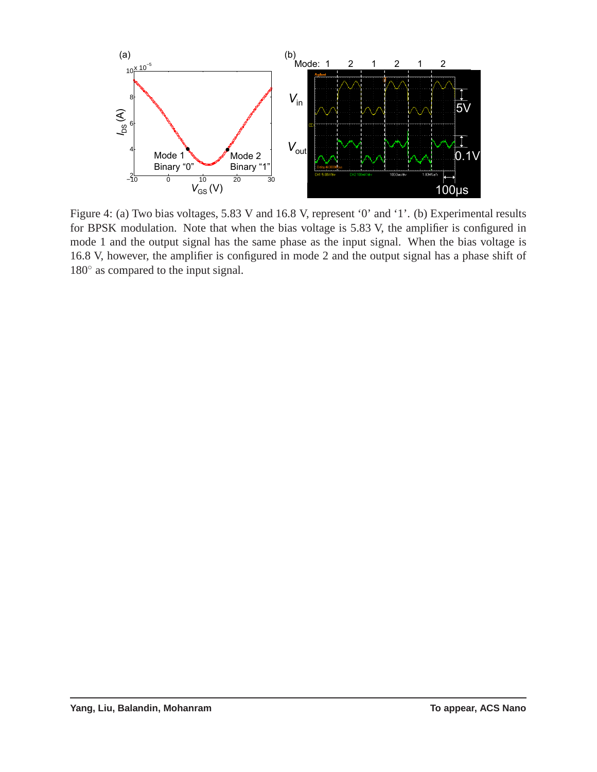<span id="page-14-0"></span>

Figure 4: (a) Two bias voltages, 5.83 V and 16.8 V, represent '0' and '1'. (b) Experimental results for BPSK modulation. Note that when the bias voltage is 5.83 V, the amplifier is configured in mode 1 and the output signal has the same phase as the input signal. When the bias voltage is 16.8 V, however, the amplifier is configured in mode 2 and the output signal has a phase shift of 180<sup>°</sup> as compared to the input signal.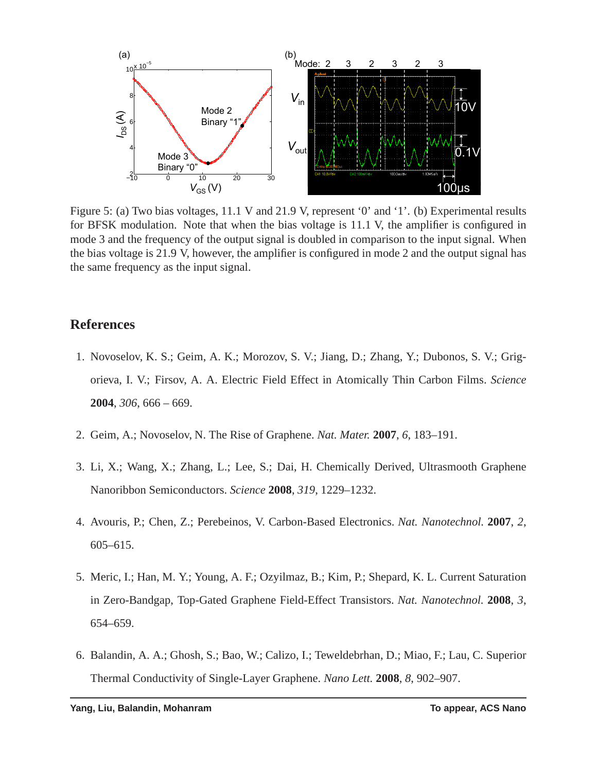<span id="page-15-4"></span>

Figure 5: (a) Two bias voltages, 11.1 V and 21.9 V, represent '0' and '1'. (b) Experimental results for BFSK modulation. Note that when the bias voltage is 11.1 V, the amplifier is configured in mode 3 and the frequency of the output signal is doubled in comparison to the input signal. When the bias voltage is 21.9 V, however, the amplifier is configured in mode 2 and the output signal has the same frequency as the input signal.

#### **References**

- <span id="page-15-0"></span>1. Novoselov, K. S.; Geim, A. K.; Morozov, S. V.; Jiang, D.; Zhang, Y.; Dubonos, S. V.; Grigorieva, I. V.; Firsov, A. A. Electric Field Effect in Atomically Thin Carbon Films. *Science* **2004**, *306*, 666 – 669.
- <span id="page-15-3"></span>2. Geim, A.; Novoselov, N. The Rise of Graphene. *Nat. Mater.* **2007**, *6*, 183–191.
- 3. Li, X.; Wang, X.; Zhang, L.; Lee, S.; Dai, H. Chemically Derived, Ultrasmooth Graphene Nanoribbon Semiconductors. *Science* **2008**, *319*, 1229–1232.
- 4. Avouris, P.; Chen, Z.; Perebeinos, V. Carbon-Based Electronics. *Nat. Nanotechnol.* **2007**, *2*, 605–615.
- <span id="page-15-1"></span>5. Meric, I.; Han, M. Y.; Young, A. F.; Ozyilmaz, B.; Kim, P.; Shepard, K. L. Current Saturation in Zero-Bandgap, Top-Gated Graphene Field-Effect Transistors. *Nat. Nanotechnol.* **2008**, *3*, 654–659.
- <span id="page-15-2"></span>6. Balandin, A. A.; Ghosh, S.; Bao, W.; Calizo, I.; Teweldebrhan, D.; Miao, F.; Lau, C. Superior Thermal Conductivity of Single-Layer Graphene. *Nano Lett.* **2008**, *8*, 902–907.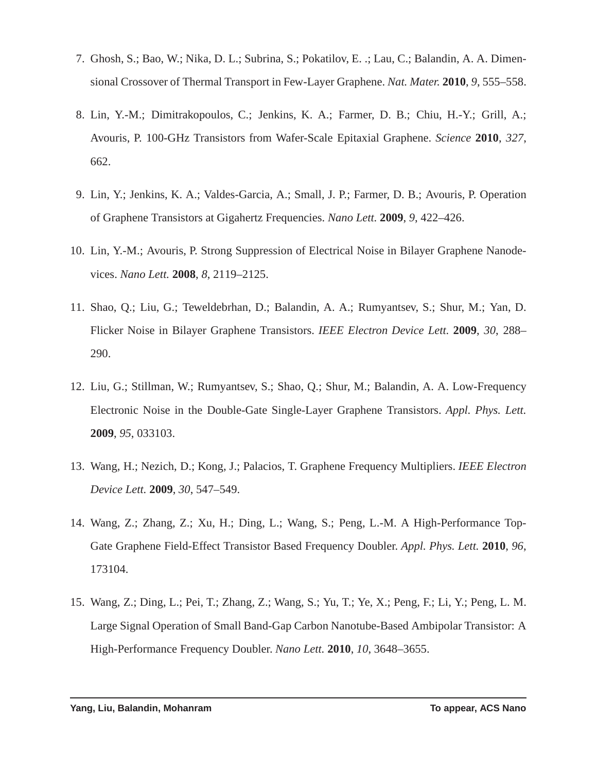- <span id="page-16-0"></span>7. Ghosh, S.; Bao, W.; Nika, D. L.; Subrina, S.; Pokatilov, E. .; Lau, C.; Balandin, A. A. Dimensional Crossover of Thermal Transport in Few-Layer Graphene. *Nat. Mater.* **2010**, *9*, 555–558.
- <span id="page-16-1"></span>8. Lin, Y.-M.; Dimitrakopoulos, C.; Jenkins, K. A.; Farmer, D. B.; Chiu, H.-Y.; Grill, A.; Avouris, P. 100-GHz Transistors from Wafer-Scale Epitaxial Graphene. *Science* **2010**, *327*, 662.
- <span id="page-16-2"></span>9. Lin, Y.; Jenkins, K. A.; Valdes-Garcia, A.; Small, J. P.; Farmer, D. B.; Avouris, P. Operation of Graphene Transistors at Gigahertz Frequencies. *Nano Lett.* **2009**, *9*, 422–426.
- <span id="page-16-3"></span>10. Lin, Y.-M.; Avouris, P. Strong Suppression of Electrical Noise in Bilayer Graphene Nanodevices. *Nano Lett.* **2008**, *8*, 2119–2125.
- 11. Shao, Q.; Liu, G.; Teweldebrhan, D.; Balandin, A. A.; Rumyantsev, S.; Shur, M.; Yan, D. Flicker Noise in Bilayer Graphene Transistors. *IEEE Electron Device Lett.* **2009**, *30*, 288– 290.
- <span id="page-16-4"></span>12. Liu, G.; Stillman, W.; Rumyantsev, S.; Shao, Q.; Shur, M.; Balandin, A. A. Low-Frequency Electronic Noise in the Double-Gate Single-Layer Graphene Transistors. *Appl. Phys. Lett.* **2009**, *95*, 033103.
- <span id="page-16-5"></span>13. Wang, H.; Nezich, D.; Kong, J.; Palacios, T. Graphene Frequency Multipliers. *IEEE Electron Device Lett.* **2009**, *30*, 547–549.
- <span id="page-16-7"></span>14. Wang, Z.; Zhang, Z.; Xu, H.; Ding, L.; Wang, S.; Peng, L.-M. A High-Performance Top-Gate Graphene Field-Effect Transistor Based Frequency Doubler. *Appl. Phys. Lett.* **2010**, *96*, 173104.
- <span id="page-16-6"></span>15. Wang, Z.; Ding, L.; Pei, T.; Zhang, Z.; Wang, S.; Yu, T.; Ye, X.; Peng, F.; Li, Y.; Peng, L. M. Large Signal Operation of Small Band-Gap Carbon Nanotube-Based Ambipolar Transistor: A High-Performance Frequency Doubler. *Nano Lett.* **2010**, *10*, 3648–3655.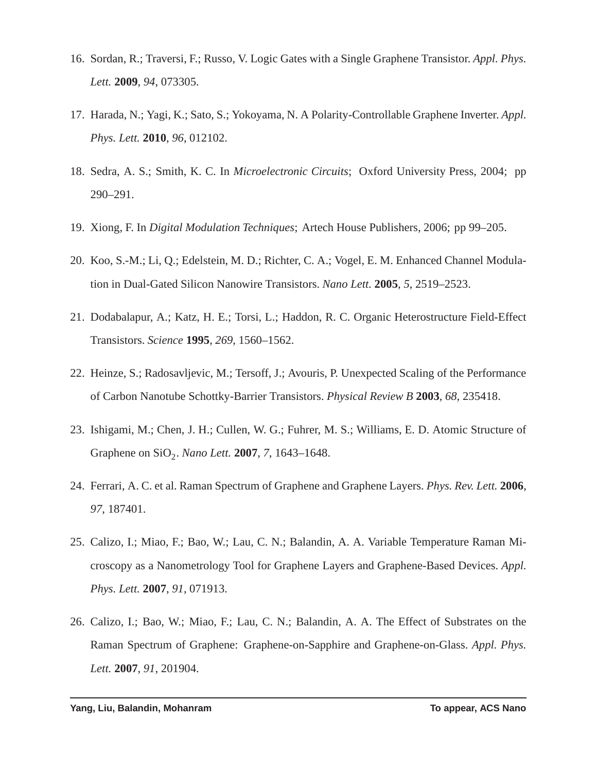- <span id="page-17-0"></span>16. Sordan, R.; Traversi, F.; Russo, V. Logic Gates with a Single Graphene Transistor. *Appl. Phys. Lett.* **2009**, *94*, 073305.
- <span id="page-17-1"></span>17. Harada, N.; Yagi, K.; Sato, S.; Yokoyama, N. A Polarity-Controllable Graphene Inverter. *Appl. Phys. Lett.* **2010**, *96*, 012102.
- <span id="page-17-2"></span>18. Sedra, A. S.; Smith, K. C. In *Microelectronic Circuits*; Oxford University Press, 2004; pp 290–291.
- <span id="page-17-3"></span>19. Xiong, F. In *Digital Modulation Techniques*; Artech House Publishers, 2006; pp 99–205.
- <span id="page-17-4"></span>20. Koo, S.-M.; Li, Q.; Edelstein, M. D.; Richter, C. A.; Vogel, E. M. Enhanced Channel Modulation in Dual-Gated Silicon Nanowire Transistors. *Nano Lett.* **2005**, *5*, 2519–2523.
- <span id="page-17-5"></span>21. Dodabalapur, A.; Katz, H. E.; Torsi, L.; Haddon, R. C. Organic Heterostructure Field-Effect Transistors. *Science* **1995**, *269*, 1560–1562.
- <span id="page-17-6"></span>22. Heinze, S.; Radosavljevic, M.; Tersoff, J.; Avouris, P. Unexpected Scaling of the Performance of Carbon Nanotube Schottky-Barrier Transistors. *Physical Review B* **2003**, *68*, 235418.
- <span id="page-17-7"></span>23. Ishigami, M.; Chen, J. H.; Cullen, W. G.; Fuhrer, M. S.; Williams, E. D. Atomic Structure of Graphene on SiO<sub>2</sub>. *Nano Lett*. **2007**, 7, 1643–1648.
- <span id="page-17-8"></span>24. Ferrari, A. C. et al. Raman Spectrum of Graphene and Graphene Layers. *Phys. Rev. Lett.* **2006**, *97*, 187401.
- 25. Calizo, I.; Miao, F.; Bao, W.; Lau, C. N.; Balandin, A. A. Variable Temperature Raman Microscopy as a Nanometrology Tool for Graphene Layers and Graphene-Based Devices. *Appl. Phys. Lett.* **2007**, *91*, 071913.
- <span id="page-17-9"></span>26. Calizo, I.; Bao, W.; Miao, F.; Lau, C. N.; Balandin, A. A. The Effect of Substrates on the Raman Spectrum of Graphene: Graphene-on-Sapphire and Graphene-on-Glass. *Appl. Phys. Lett.* **2007**, *91*, 201904.